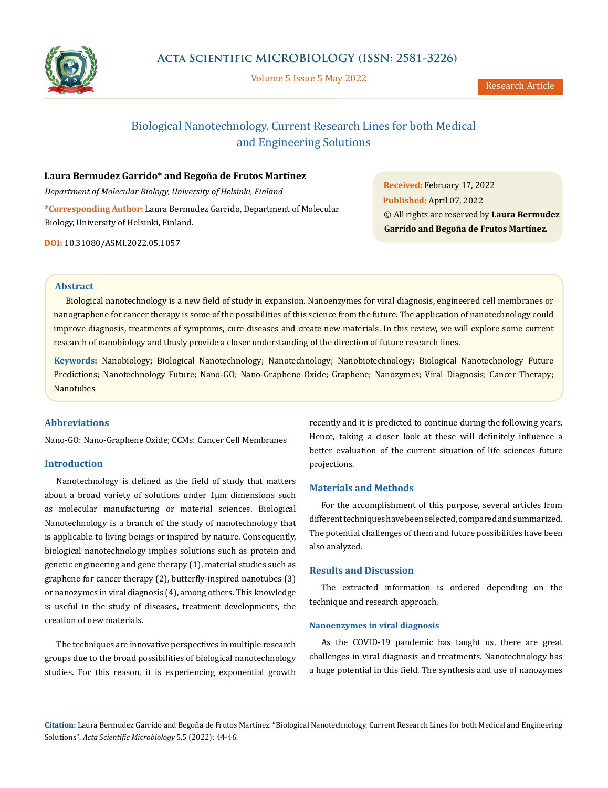

Volume 5 Issue 5 May 2022

# Biological Nanotechnology. Current Research Lines for both Medical and Engineering Solutions

**Laura Bermudez Garrido\* and Begoña de Frutos Martínez**

*Department of Molecular Biology, University of Helsinki, Finland* **\*Corresponding Author:** Laura Bermudez Garrido, Department of Molecular Biology, University of Helsinki, Finland.

**DOI:** [10.31080/ASMI.2022.05.1057](http://actascientific.com/ASMI/pdf/ASMI-05-1057.pdf)

**Received:** February 17, 2022 **Published:** April 07, 2022 © All rights are reserved by **Laura Bermudez Garrido and Begoña de Frutos Martínez***.*

## **Abstract**

Biological nanotechnology is a new field of study in expansion. Nanoenzymes for viral diagnosis, engineered cell membranes or nanographene for cancer therapy is some of the possibilities of this science from the future. The application of nanotechnology could improve diagnosis, treatments of symptoms, cure diseases and create new materials. In this review, we will explore some current research of nanobiology and thusly provide a closer understanding of the direction of future research lines.

**Keywords:** Nanobiology; Biological Nanotechnology; Nanotechnology; Nanobiotechnology; Biological Nanotechnology Future Predictions; Nanotechnology Future; Nano-GO; Nano-Graphene Oxide; Graphene; Nanozymes; Viral Diagnosis; Cancer Therapy; Nanotubes

## **Abbreviations**

Nano-GO: Nano-Graphene Oxide; CCMs: Cancer Cell Membranes

## **Introduction**

Nanotechnology is defined as the field of study that matters about a broad variety of solutions under 1µm dimensions such as molecular manufacturing or material sciences. Biological Nanotechnology is a branch of the study of nanotechnology that is applicable to living beings or inspired by nature. Consequently, biological nanotechnology implies solutions such as protein and genetic engineering and gene therapy (1), material studies such as graphene for cancer therapy (2), butterfly-inspired nanotubes (3) or nanozymes in viral diagnosis (4), among others. This knowledge is useful in the study of diseases, treatment developments, the creation of new materials.

The techniques are innovative perspectives in multiple research groups due to the broad possibilities of biological nanotechnology studies. For this reason, it is experiencing exponential growth

recently and it is predicted to continue during the following years. Hence, taking a closer look at these will definitely influence a better evaluation of the current situation of life sciences future projections.

## **Materials and Methods**

For the accomplishment of this purpose, several articles from different techniques have been selected, compared and summarized. The potential challenges of them and future possibilities have been also analyzed.

## **Results and Discussion**

The extracted information is ordered depending on the technique and research approach.

## **Nanoenzymes in viral diagnosis**

As the COVID-19 pandemic has taught us, there are great challenges in viral diagnosis and treatments. Nanotechnology has a huge potential in this field. The synthesis and use of nanozymes

**Citation:** Laura Bermudez Garrido and Begoña de Frutos Martínez*.* "Biological Nanotechnology. Current Research Lines for both Medical and Engineering Solutions". *Acta Scientific Microbiology* 5.5 (2022): 44-46.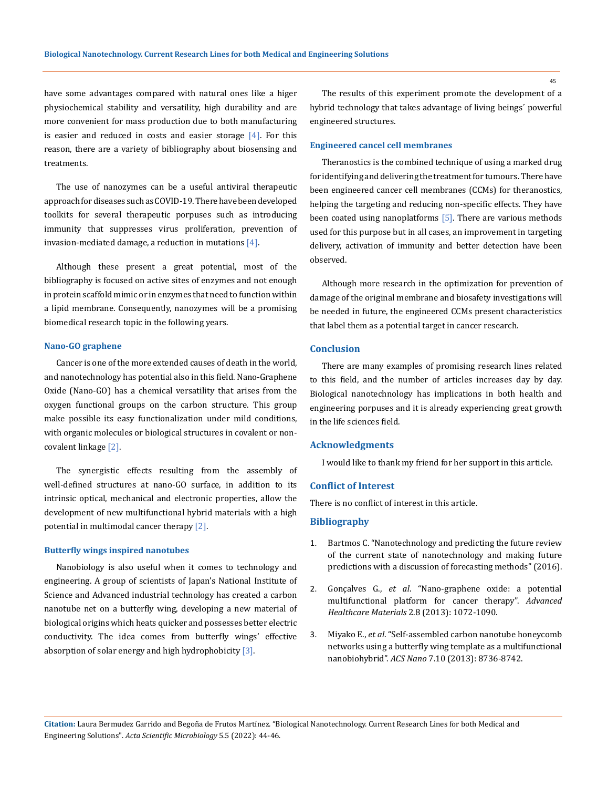have some advantages compared with natural ones like a higer physiochemical stability and versatility, high durability and are more convenient for mass production due to both manufacturing is easier and reduced in costs and easier storage  $[4]$ . For this reason, there are a variety of bibliography about biosensing and treatments.

The use of nanozymes can be a useful antiviral therapeutic approach for diseases such as COVID-19. There have been developed toolkits for several therapeutic porpuses such as introducing immunity that suppresses virus proliferation, prevention of invasion-mediated damage, a reduction in mutations [4].

Although these present a great potential, most of the bibliography is focused on active sites of enzymes and not enough in protein scaffold mimic or in enzymes that need to function within a lipid membrane. Consequently, nanozymes will be a promising biomedical research topic in the following years.

#### **Nano-GO graphene**

Cancer is one of the more extended causes of death in the world, and nanotechnology has potential also in this field. Nano-Graphene Oxide (Nano-GO) has a chemical versatility that arises from the oxygen functional groups on the carbon structure. This group make possible its easy functionalization under mild conditions, with organic molecules or biological structures in covalent or noncovalent linkage [2].

The synergistic effects resulting from the assembly of well-defined structures at nano-GO surface, in addition to its intrinsic optical, mechanical and electronic properties, allow the development of new multifunctional hybrid materials with a high potential in multimodal cancer therapy [2].

#### **Butterfly wings inspired nanotubes**

Nanobiology is also useful when it comes to technology and engineering. A group of scientists of Japan's National Institute of Science and Advanced industrial technology has created a carbon nanotube net on a butterfly wing, developing a new material of biological origins which heats quicker and possesses better electric conductivity. The idea comes from butterfly wings' effective absorption of solar energy and high hydrophobicity  $[3]$ .

The results of this experiment promote the development of a hybrid technology that takes advantage of living beings´ powerful engineered structures.

## **Engineered cancel cell membranes**

Theranostics is the combined technique of using a marked drug for identifying and delivering the treatment for tumours. There have been engineered cancer cell membranes (CCMs) for theranostics, helping the targeting and reducing non-specific effects. They have been coated using nanoplatforms [5]. There are various methods used for this purpose but in all cases, an improvement in targeting delivery, activation of immunity and better detection have been observed.

Although more research in the optimization for prevention of damage of the original membrane and biosafety investigations will be needed in future, the engineered CCMs present characteristics that label them as a potential target in cancer research.

## **Conclusion**

There are many examples of promising research lines related to this field, and the number of articles increases day by day. Biological nanotechnology has implications in both health and engineering porpuses and it is already experiencing great growth in the life sciences field.

#### **Acknowledgments**

I would like to thank my friend for her support in this article.

## **Conflict of Interest**

There is no conflict of interest in this article.

## **Bibliography**

- 1. [Bartmos C. "Nanotechnology and predicting the future review](https://www.researchgate.net/publication/311753193_Nanotechnology_And_Predicting_The_Future_Review_of_The_Current_State_of_Nanotechnology_And_Making_Future_Predictions_With_A_Discussion_of_Forecasting_Methods) [of the current state of nanotechnology and making future](https://www.researchgate.net/publication/311753193_Nanotechnology_And_Predicting_The_Future_Review_of_The_Current_State_of_Nanotechnology_And_Making_Future_Predictions_With_A_Discussion_of_Forecasting_Methods) [predictions with a discussion of forecasting methods" \(2016\).](https://www.researchgate.net/publication/311753193_Nanotechnology_And_Predicting_The_Future_Review_of_The_Current_State_of_Nanotechnology_And_Making_Future_Predictions_With_A_Discussion_of_Forecasting_Methods)
- 2. Gonçalves G., *et al*[. "Nano-graphene oxide: a potential](https://pubmed.ncbi.nlm.nih.gov/23526812/) [multifunctional platform for cancer therapy".](https://pubmed.ncbi.nlm.nih.gov/23526812/) *Advanced [Healthcare Materials](https://pubmed.ncbi.nlm.nih.gov/23526812/)* 2.8 (2013): 1072-1090.
- 3. Miyako E., *et al*[. "Self-assembled carbon nanotube honeycomb](https://pubmed.ncbi.nlm.nih.gov/23952240/) [networks using a butterfly wing template as a multifunctional](https://pubmed.ncbi.nlm.nih.gov/23952240/) nanobiohybrid". *ACS Nano* [7.10 \(2013\): 8736-8742.](https://pubmed.ncbi.nlm.nih.gov/23952240/)

**Citation:** Laura Bermudez Garrido and Begoña de Frutos Martínez*.* "Biological Nanotechnology. Current Research Lines for both Medical and Engineering Solutions". *Acta Scientific Microbiology* 5.5 (2022): 44-46.

45